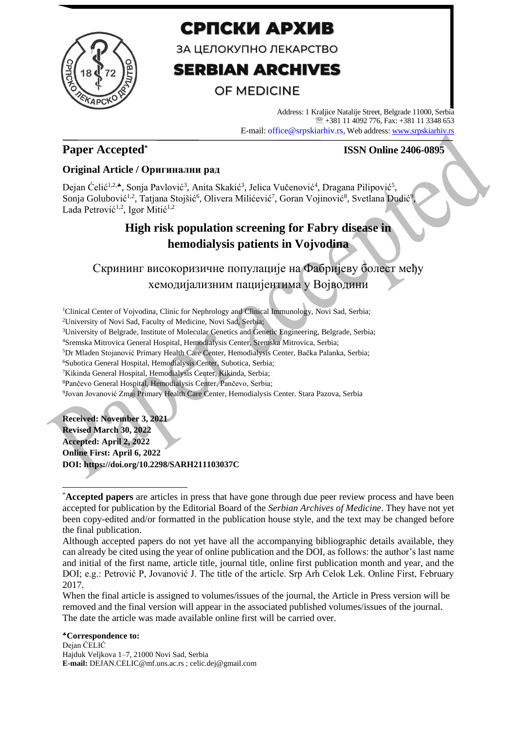

# СРПСКИ АРХИВ

ЗА ЦЕЛОКУПНО ЛЕКАРСТВО

# **SERBIAN ARCHIVES**

## **OF MEDICINE**

Address: 1 Kraljice Natalije Street, Belgrade 11000, Serbia +381 11 4092 776, Fax: +381 11 3348 653 E-mail: office@srpskiarhiv.rs, Web address[: www.srpskiarhiv.rs](http://www.srpskiarhiv.rs/)

### **Paper Accepted\***

### **ISSN Online 2406-0895**

### **Original Article / Оригинални рад**

Dejan Ćelić<sup>1,2,</sup>\*, Sonja Pavlović<sup>3</sup>, Anita Skakić<sup>3</sup>, Jelica Vučenović<sup>4</sup>, Dragana Pilipović<sup>5</sup>, Sonja Golubović<sup>1,2</sup>, Tatjana Stojšić<sup>6</sup>, Olivera Milićević<sup>7</sup>, Goran Vojinović<sup>8</sup>, Svetlana Dudić<sup>9</sup>, Lada Petrović<sup>1,2</sup>, Igor Mitić<sup>1,2</sup>

## **High risk population screening for Fabry disease in hemodialysis patients in Vojvodina**

# Скрининг високоризичне популације на Фабријеву болест међу хемодијализним пацијентима у Војводини

<sup>1</sup>Clinical Center of Vojvodina, Clinic for Nephrology and Clinical Immunology, Novi Sad, Serbia; University of Novi Sad, Faculty of Medicine, Novi Sad, Serbia; University of Belgrade, Institute of Molecular Genetics and Genetic Engineering, Belgrade, Serbia; Sremska Mitrovica General Hospital, Hemodialysis Center, Sremska Mitrovica, Serbia; Dr Mladen Stojanović Primary Health Care Center, Hemodialysis Center, Bačka Palanka, Serbia; Subotica General Hospital, Hemodialysis Center, Subotica, Serbia; Kikinda General Hospital, Hemodialysis Center, Kikinda, Serbia; Pančevo General Hospital, Hemodialysis Center, Pančevo, Serbia; Jovan Jovanović Zmaj Primary Health Care Center, Hemodialysis Center. Stara Pazova, Serbia

**Received: November 3, 2021 Revised March 30, 2022 Accepted: April 2, 2022 Online First: April 6, 2022 DOI: https://doi.org/10.2298/SARH211103037C**

When the final article is assigned to volumes/issues of the journal, the Article in Press version will be removed and the final version will appear in the associated published volumes/issues of the journal. The date the article was made available online first will be carried over.

### **Correspondence to:**

Dejan ĆELIĆ Hajduk Veljkova 1–7, 21000 Novi Sad, Serbia **E-mail:** DEJAN.CELIC@mf.uns.ac.rs ; celic.dej@gmail.com

<sup>\*</sup>**Accepted papers** are articles in press that have gone through due peer review process and have been accepted for publication by the Editorial Board of the *Serbian Archives of Medicine*. They have not yet been copy-edited and/or formatted in the publication house style, and the text may be changed before the final publication.

Although accepted papers do not yet have all the accompanying bibliographic details available, they can already be cited using the year of online publication and the DOI, as follows: the author's last name and initial of the first name, article title, journal title, online first publication month and year, and the DOI; e.g.: Petrović P, Jovanović J. The title of the article. Srp Arh Celok Lek. Online First, February 2017.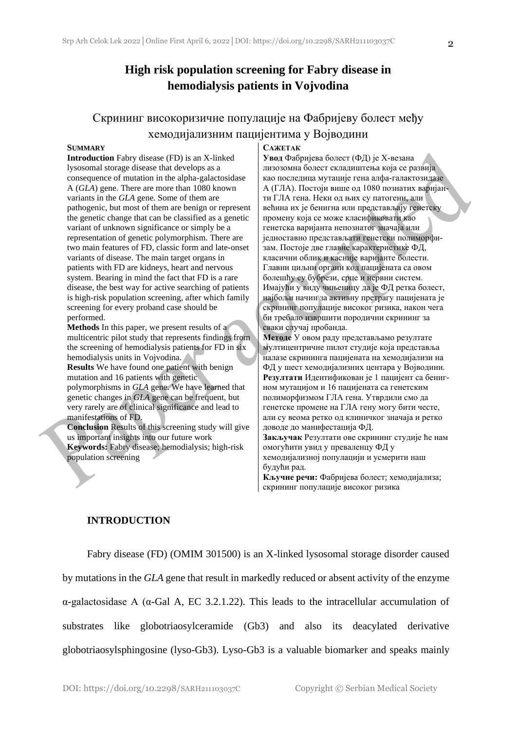### **High risk population screening for Fabry disease in hemodialysis patients in Vojvodina**

### Скрининг високоризичне популације на Фабријеву болест међу хемодијализним пацијентима у Војводини

#### **SUMMARY**

**Introduction** Fabry disease (FD) is an X-linked lysosomal storage disease that develops as a consequence of mutation in the alpha-galactosidase A (*GLA*) gene. There are more than 1080 known variants in the *GLA* gene. Some of them are pathogenic, but most of them are benign or represent the genetic change that can be classified as a genetic variant of unknown significance or simply be a representation of genetic polymorphism. There are two main features of FD, classic form and late-onset variants of disease. The main target organs in patients with FD are kidneys, heart and nervous system. Bearing in mind the fact that FD is a rare disease, the best way for active searching of patients is high-risk population screening, after which family screening for every proband case should be performed.

**Methods** In this paper, we present results of a multicentric pilot study that represents findings from the screening of hemodialysis patients for FD in six hemodialysis units in Vojvodina.

**Results** We have found one patient with benign mutation and 16 patients with genetic polymorphisms in *GLA* gene. We have learned that genetic changes in *GLA* gene can be frequent, but very rarely are of clinical significance and lead to manifestations of FD.

**Conclusion** Results of this screening study will give us important insights into our future work **Keywords:** Fabry disease; hemodialysis; high-risk population screening

#### **САЖЕТАК**

**Увод** Фабријева болест (ФД) је X-везана лизозомна болест складиштења која се развија као последица мутације гена алфа-галактозидазе А (ГЛА). Постоји више од 1080 познатих варијанти ГЛА гена. Неки од њих су патогени, али већина их је бенигна или представљају генетску промену која се може класификовати као генетска варијанта непознатог значаја или једноставно представљати генетски полиморфизам. Постоје две главне карактеристике ФД, класични облик и касније варијанте болести. Главни циљни органи код пацијената са овом болешћу су бубрези, срце и нервни систем. Имајући у виду чињеницу да је ФД ретка болест, најбољи начин за активну претрагу пацијената је скрининг популације високог ризика, након чега би требало извршити породични скрининг за сваки случај пробанда.

**Методе** У овом раду представљамо резултате мултицентричне пилот студије која представља налазе скрининга пацијената на хемодијализи на ФД у шест хемодијализних центара у Војводини. **Резултати** Идентификован је 1 пацијент са бенигном мутацијом и 16 пацијената са генетским полиморфизмом ГЛА гена. Утврдили смо да генетске промене на ГЛА гену могу бити честе, али су веома ретко од клиничког значаја и ретко доводе до манифестација ФД. **Закључак** Резултати ове скрининг студије ће нам омогућити увид у преваленцу ФД у

хемодијализној популацији и усмерити наш будући рад.

**Кључне речи:** Фабријева болест; хемодијализа; скрининг популације високог ризика

### **INTRODUCTION**

Fabry disease (FD) (OMIM 301500) is an X-linked lysosomal storage disorder caused by mutations in the *GLA* gene that result in markedly reduced or absent activity of the enzyme α-galactosidase A (α-Gal A, EC 3.2.1.22). This leads to the intracellular accumulation of substrates like globotriaosylceramide (Gb3) and also its deacylated derivative globotriaosylsphingosine (lyso-Gb3). Lyso-Gb3 is a valuable biomarker and speaks mainly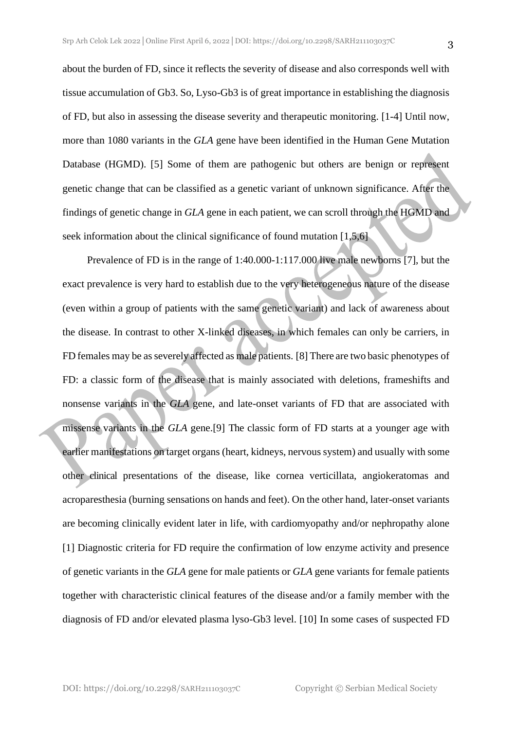about the burden of FD, since it reflects the severity of disease and also corresponds well with tissue accumulation of Gb3. So, Lyso-Gb3 is of great importance in establishing the diagnosis of FD, but also in assessing the disease severity and therapeutic monitoring. [1-4] Until now, more than 1080 variants in the *GLA* gene have been identified in the Human Gene Mutation Database (HGMD). [5] Some of them are pathogenic but others are benign or represent genetic change that can be classified as a genetic variant of unknown significance. After the findings of genetic change in *GLA* gene in each patient, we can scroll through the HGMD and seek information about the clinical significance of found mutation [1,5,6]

Prevalence of FD is in the range of 1:40.000-1:117.000 live male newborns [7], but the exact prevalence is very hard to establish due to the very heterogeneous nature of the disease (even within a group of patients with the same genetic variant) and lack of awareness about the disease. In contrast to other X-linked diseases, in which females can only be carriers, in FD females may be as severely affected as male patients. [8] There are two basic phenotypes of FD: a classic form of the disease that is mainly associated with deletions, frameshifts and nonsense variants in the *GLA* gene, and late-onset variants of FD that are associated with missense variants in the *GLA* gene.[9] The classic form of FD starts at a younger age with earlier manifestations on target organs (heart, kidneys, nervous system) and usually with some other clinical presentations of the disease, like cornea verticillata, angiokeratomas and acroparesthesia (burning sensations on hands and feet). On the other hand, later-onset variants are becoming clinically evident later in life, with cardiomyopathy and/or nephropathy alone [1] Diagnostic criteria for FD require the confirmation of low enzyme activity and presence of genetic variants in the *GLA* gene for male patients or *GLA* gene variants for female patients together with characteristic clinical features of the disease and/or a family member with the diagnosis of FD and/or elevated plasma lyso-Gb3 level. [10] In some cases of suspected FD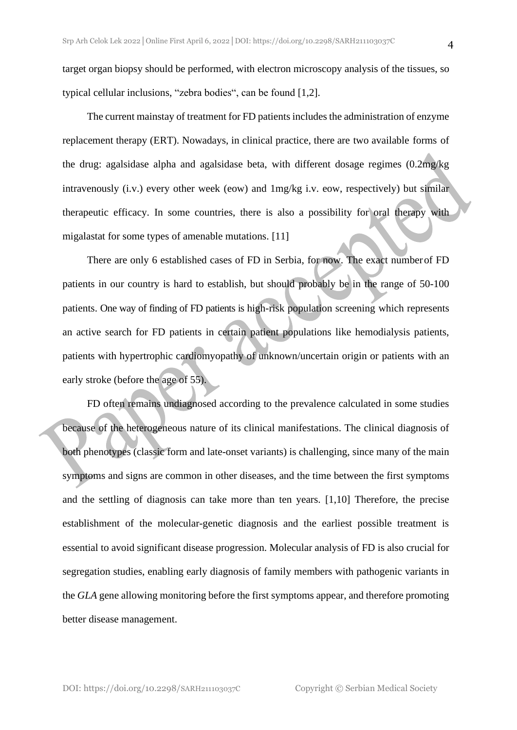target organ biopsy should be performed, with electron microscopy analysis of the tissues, so typical cellular inclusions, "zebra bodies", can be found [1,2].

The current mainstay of treatment for FD patients includes the administration of enzyme replacement therapy (ERT). Nowadays, in clinical practice, there are two available forms of the drug: agalsidase alpha and agalsidase beta, with different dosage regimes (0.2mg/kg intravenously (i.v.) every other week (eow) and 1mg/kg i.v. eow, respectively) but similar therapeutic efficacy. In some countries, there is also a possibility for oral therapy with migalastat for some types of amenable mutations. [11]

There are only 6 established cases of FD in Serbia, for now. The exact numberof FD patients in our country is hard to establish, but should probably be in the range of 50-100 patients. One way of finding of FD patients is high-risk population screening which represents an active search for FD patients in certain patient populations like hemodialysis patients, patients with hypertrophic cardiomyopathy of unknown/uncertain origin or patients with an early stroke (before the age of 55).

FD often remains undiagnosed according to the prevalence calculated in some studies because of the heterogeneous nature of its clinical manifestations. The clinical diagnosis of both phenotypes (classic form and late-onset variants) is challenging, since many of the main symptoms and signs are common in other diseases, and the time between the first symptoms and the settling of diagnosis can take more than ten years. [1,10] Therefore, the precise establishment of the molecular-genetic diagnosis and the earliest possible treatment is essential to avoid significant disease progression. Molecular analysis of FD is also crucial for segregation studies, enabling early diagnosis of family members with pathogenic variants in the *GLA* gene allowing monitoring before the first symptoms appear, and therefore promoting better disease management.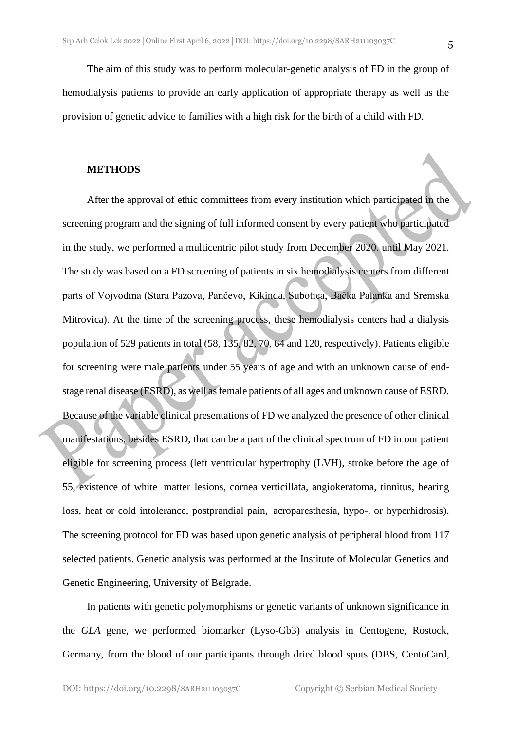### **METHODS**

After the approval of ethic committees from every institution which participated in the screening program and the signing of full informed consent by every patient who participated in the study, we performed a multicentric pilot study from December 2020. until May 2021. The study was based on a FD screening of patients in six hemodialysis centers from different parts of Vojvodina (Stara Pazova, Pančevo, Kikinda, Subotica, Bačka Palanka and Sremska Mitrovica). At the time of the screening process, these hemodialysis centers had a dialysis population of 529 patients in total (58, 135, 82, 70, 64 and 120, respectively). Patients eligible for screening were male patients under 55 years of age and with an unknown cause of endstage renal disease (ESRD), as well asfemale patients of all ages and unknown cause of ESRD. Because of the variable clinical presentations of FD we analyzed the presence of other clinical manifestations, besides ESRD, that can be a part of the clinical spectrum of FD in our patient eligible for screening process (left ventricular hypertrophy (LVH), stroke before the age of 55, existence of white matter lesions, cornea verticillata, angiokeratoma, tinnitus, hearing loss, heat or cold intolerance, postprandial pain, acroparesthesia, hypo-, or hyperhidrosis). The screening protocol for FD was based upon genetic analysis of peripheral blood from 117 selected patients. Genetic analysis was performed at the Institute of Molecular Genetics and Genetic Engineering, University of Belgrade.

In patients with genetic polymorphisms or genetic variants of unknown significance in the *GLA* gene, we performed biomarker (Lyso-Gb3) analysis in Centogene, Rostock, Germany, from the blood of our participants through dried blood spots (DBS, CentoCard,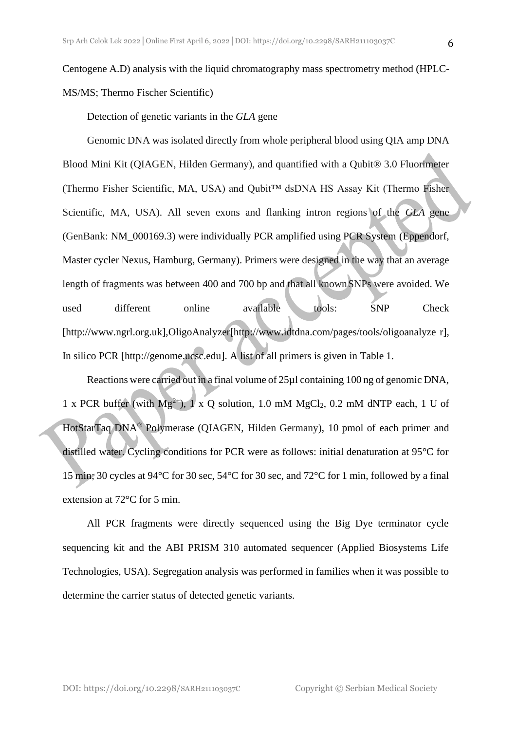Centogene A.D) analysis with the liquid chromatography mass spectrometry method (HPLC-MS/MS; Thermo Fischer Scientific)

Detection of genetic variants in the *GLA* gene

Genomic DNA was isolated directly from whole peripheral blood using QIA amp DNA Blood Mini Kit (QIAGEN, Hilden Germany), and quantified with a Qubit® 3.0 Fluorimeter (Thermo Fisher Scientific, MA, USA) and Qubit™ dsDNA HS Assay Kit (Thermo Fisher Scientific, MA, USA). All seven exons and flanking intron regions of the *GLA* gene (GenBank: NM\_000169.3) were individually PCR amplified using PCR System (Eppendorf, Master cycler Nexus, Hamburg, Germany). Primers were designed in the way that an average length of fragments was between 400 and 700 bp and that all knownSNPs were avoided. We used different online available tools: SNP Check [\[http://www.ngrl.org.uk\]](http://www.ngrl.org.uk/),OligoAnalyzer[\[http://www.idtdna.com/pages/tools/oligoanalyze](http://www.idtdna.com/pages/tools/oligoanalyze) r], In silico PCR [\[http://genome.ucsc.edu\]](http://genome.ucsc.edu/). A list of all primers is given in Table 1.

Reactions were carried out in a final volume of 25µl containing 100 ng of genomic DNA, 1 x PCR buffer (with  $Mg^{2+}$ ), 1 x Q solution, 1.0 mM MgCl<sub>2</sub>, 0.2 mM dNTP each, 1 U of HotStarTaq DNA® Polymerase (QIAGEN, Hilden Germany), 10 pmol of each primer and distilled water. Cycling conditions for PCR were as follows: initial denaturation at 95°C for 15 min; 30 cycles at 94°C for 30 sec, 54°C for 30 sec, and 72°C for 1 min, followed by a final extension at 72°C for 5 min.

All PCR fragments were directly sequenced using the Big Dye terminator cycle sequencing kit and the ABI PRISM 310 automated sequencer (Applied Biosystems Life Technologies, USA). Segregation analysis was performed in families when it was possible to determine the carrier status of detected genetic variants.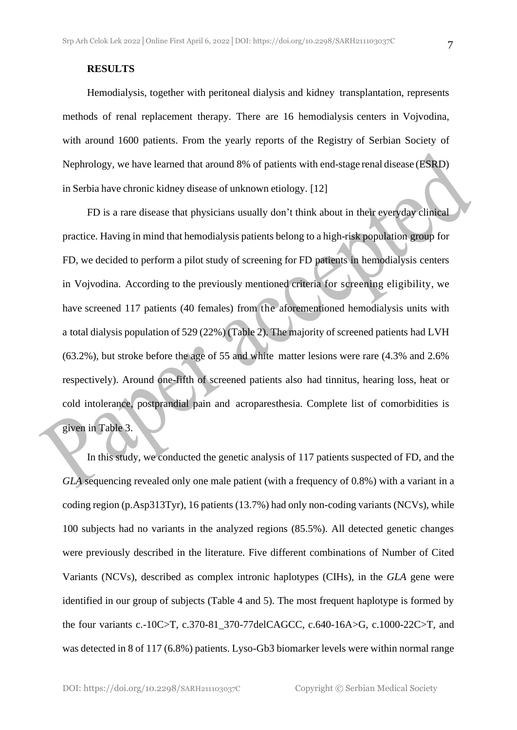Hemodialysis, together with peritoneal dialysis and kidney transplantation, represents methods of renal replacement therapy. There are 16 hemodialysis centers in Vojvodina, with around 1600 patients. From the yearly reports of the Registry of Serbian Society of Nephrology, we have learned that around 8% of patients with end-stage renal disease (ESRD) in Serbia have chronic kidney disease of unknown etiology. [12]

FD is a rare disease that physicians usually don't think about in their everyday clinical practice. Having in mind that hemodialysis patients belong to a high-risk population group for FD, we decided to perform a pilot study of screening for FD patients in hemodialysis centers in Vojvodina. According to the previously mentioned criteria for screening eligibility, we have screened 117 patients (40 females) from the aforementioned hemodialysis units with a total dialysis population of 529 (22%) (Table 2). The majority of screened patients had LVH (63.2%), but stroke before the age of 55 and white matter lesions were rare (4.3% and 2.6% respectively). Around one-fifth of screened patients also had tinnitus, hearing loss, heat or cold intolerance, postprandial pain and acroparesthesia. Complete list of comorbidities is given in Table 3.

In this study, we conducted the genetic analysis of 117 patients suspected of FD, and the *GLA* sequencing revealed only one male patient (with a frequency of 0.8%) with a variant in a coding region (p.Asp313Tyr), 16 patients (13.7%) had only non-coding variants (NCVs), while 100 subjects had no variants in the analyzed regions (85.5%). All detected genetic changes were previously described in the literature. Five different combinations of Number of Cited Variants (NCVs), described as complex intronic haplotypes (CIHs), in the *GLA* gene were identified in our group of subjects (Table 4 and 5). The most frequent haplotype is formed by the four variants c.-10C>T, c.370-81\_370-77delCAGCC, c.640-16A>G, c.1000-22C>T, and was detected in 8 of 117 (6.8%) patients. Lyso-Gb3 biomarker levels were within normal range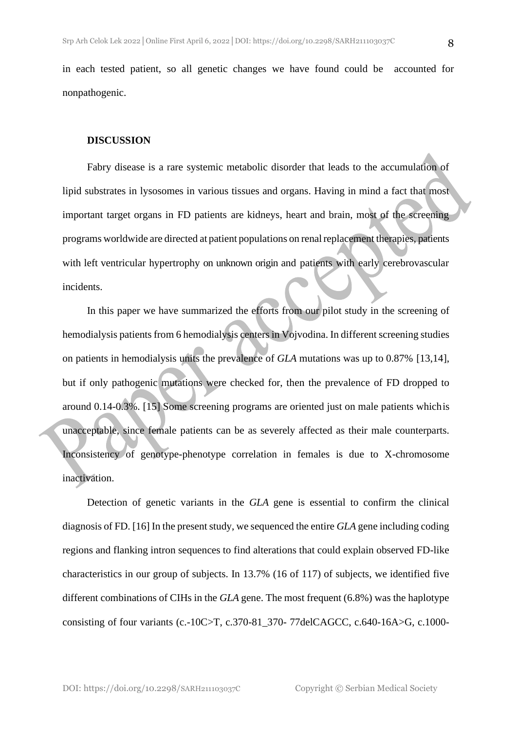in each tested patient, so all genetic changes we have found could be accounted for nonpathogenic.

#### **DISCUSSION**

Fabry disease is a rare systemic metabolic disorder that leads to the accumulation of lipid substrates in lysosomes in various tissues and organs. Having in mind a fact that most important target organs in FD patients are kidneys, heart and brain, most of the screening programs worldwide are directed at patient populations on renalreplacement therapies, patients with left ventricular hypertrophy on unknown origin and patients with early cerebrovascular incidents.

In this paper we have summarized the efforts from our pilot study in the screening of hemodialysis patients from 6 hemodialysis centers in Vojvodina. In different screening studies on patients in hemodialysis units the prevalence of *GLA* mutations was up to 0.87% [13,14], but if only pathogenic mutations were checked for, then the prevalence of FD dropped to around 0.14-0.3%. [15] Some screening programs are oriented just on male patients whichis unacceptable, since female patients can be as severely affected as their male counterparts. Inconsistency of genotype-phenotype correlation in females is due to X-chromosome inactivation.

Detection of genetic variants in the *GLA* gene is essential to confirm the clinical diagnosis of FD. [16] In the present study, we sequenced the entire *GLA* gene including coding regions and flanking intron sequences to find alterations that could explain observed FD-like characteristics in our group of subjects. In 13.7% (16 of 117) of subjects, we identified five different combinations of CIHs in the *GLA* gene. The most frequent (6.8%) was the haplotype consisting of four variants (c.-10C>T, c.370-81\_370- 77delCAGCC, c.640-16A>G, c.1000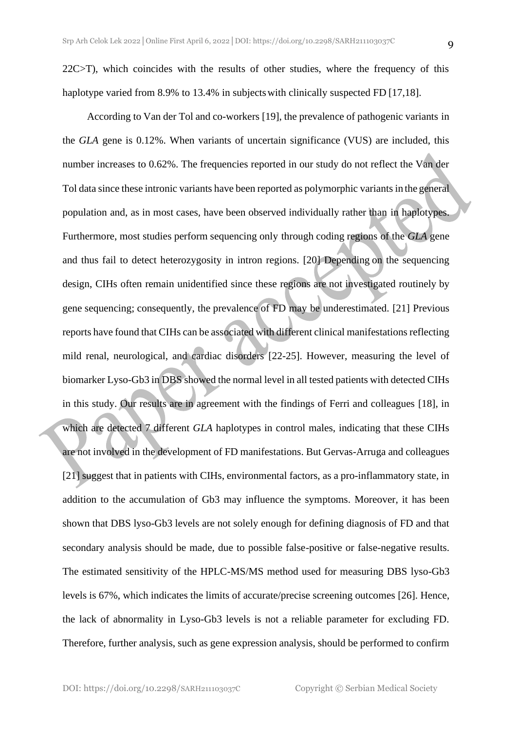22C>T), which coincides with the results of other studies, where the frequency of this haplotype varied from 8.9% to 13.4% in subjects with clinically suspected FD [17,18].

According to Van der Tol and co-workers [19], the prevalence of pathogenic variants in the *GLA* gene is 0.12%. When variants of uncertain significance (VUS) are included, this number increases to 0.62%. The frequencies reported in our study do not reflect the Van der Tol data since these intronic variants have been reported as polymorphic variants in the general population and, as in most cases, have been observed individually rather than in haplotypes. Furthermore, most studies perform sequencing only through coding regions of the *GLA* gene and thus fail to detect heterozygosity in intron regions. [20] Depending on the sequencing design, CIHs often remain unidentified since these regions are not investigated routinely by gene sequencing; consequently, the prevalence of FD may be underestimated. [21] Previous reports have found that CIHs can be associated with different clinical manifestations reflecting mild renal, neurological, and cardiac disorders [22-25]. However, measuring the level of biomarker Lyso-Gb3 in DBS showed the normal level in all tested patients with detected CIHs in this study. Our results are in agreement with the findings of Ferri and colleagues [18], in which are detected 7 different *GLA* haplotypes in control males, indicating that these CIHs are not involved in the development of FD manifestations. But Gervas-Arruga and colleagues [21] suggest that in patients with CIHs, environmental factors, as a pro-inflammatory state, in addition to the accumulation of Gb3 may influence the symptoms. Moreover, it has been shown that DBS lyso-Gb3 levels are not solely enough for defining diagnosis of FD and that secondary analysis should be made, due to possible false-positive or false-negative results. The estimated sensitivity of the HPLC-MS/MS method used for measuring DBS lyso-Gb3 levels is 67%, which indicates the limits of accurate/precise screening outcomes [26]. Hence, the lack of abnormality in Lyso-Gb3 levels is not a reliable parameter for excluding FD. Therefore, further analysis, such as gene expression analysis, should be performed to confirm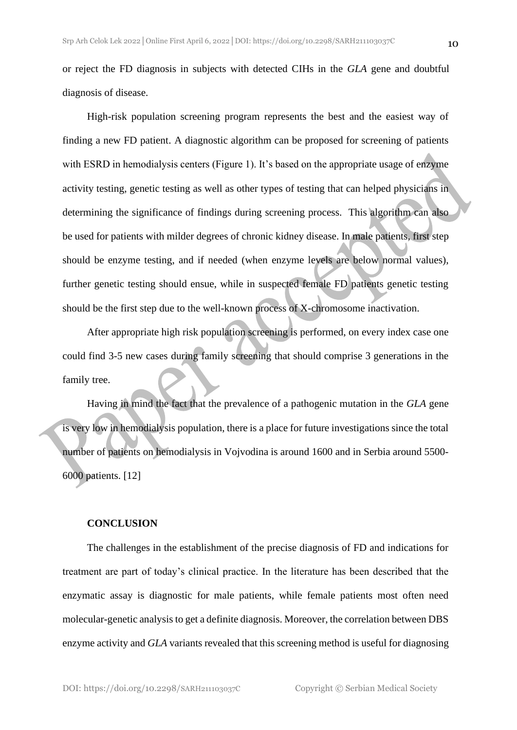10

or reject the FD diagnosis in subjects with detected CIHs in the *GLA* gene and doubtful diagnosis of disease.

High-risk population screening program represents the best and the easiest way of finding a new FD patient. A diagnostic algorithm can be proposed for screening of patients with ESRD in hemodialysis centers (Figure 1). It's based on the appropriate usage of enzyme activity testing, genetic testing as well as other types of testing that can helped physicians in determining the significance of findings during screening process. This algorithm can also be used for patients with milder degrees of chronic kidney disease. In male patients, first step should be enzyme testing, and if needed (when enzyme levels are below normal values), further genetic testing should ensue, while in suspected female FD patients genetic testing should be the first step due to the well-known process of X-chromosome inactivation.

After appropriate high risk population screening is performed, on every index case one could find 3-5 new cases during family screening that should comprise 3 generations in the family tree.

Having in mind the fact that the prevalence of a pathogenic mutation in the *GLA* gene is very low in hemodialysis population, there is a place for future investigations since the total number of patients on hemodialysis in Vojvodina is around 1600 and in Serbia around 5500- 6000 patients. [12]

#### **CONCLUSION**

The challenges in the establishment of the precise diagnosis of FD and indications for treatment are part of today's clinical practice. In the literature has been described that the enzymatic assay is diagnostic for male patients, while female patients most often need molecular-genetic analysis to get a definite diagnosis. Moreover, the correlation between DBS enzyme activity and *GLA* variants revealed that this screening method is useful for diagnosing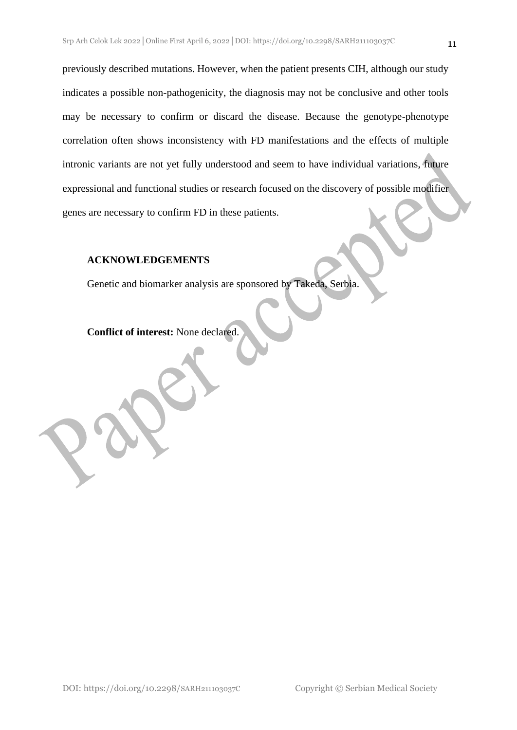previously described mutations. However, when the patient presents CIH, although our study indicates a possible non-pathogenicity, the diagnosis may not be conclusive and other tools may be necessary to confirm or discard the disease. Because the genotype-phenotype correlation often shows inconsistency with FD manifestations and the effects of multiple intronic variants are not yet fully understood and seem to have individual variations, future expressional and functional studies or research focused on the discovery of possible modifier genes are necessary to confirm FD in these patients.

### **ACKNOWLEDGEMENTS**

Genetic and biomarker analysis are sponsored by Takeda, Serbia.

**Conflict of interest:** None declared.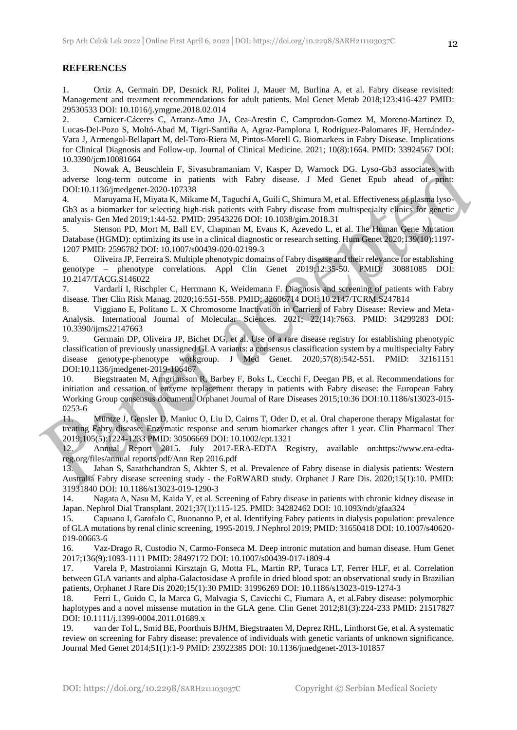#### **REFERENCES**

1. Ortiz A, Germain DP, Desnick RJ, Politei J, Mauer M, Burlina A, et al. Fabry disease revisited: Management and treatment recommendations for adult patients. Mol Genet Metab 2018;123:416-427 PMID: 29530533 DOI: 10.1016/j.ymgme.2018.02.014

2. Carnicer-Cáceres C, Arranz-Amo JA, Cea-Arestin C, Camprodon-Gomez M, Moreno-Martinez D, Lucas-Del-Pozo S, Moltó-Abad M, Tigri-Santiña A, Agraz-Pamplona I, Rodriguez-Palomares JF, Hernández-Vara J, Armengol-Bellapart M, del-Toro-Riera M, Pintos-Morell G. Biomarkers in Fabry Disease. Implications for Clinical Diagnosis and Follow-up. Journal of Clinical Medicine. 2021; 10(8):1664. PMID: 33924567 DOI: 10.3390/jcm10081664

3. Nowak A, Beuschlein F, Sivasubramaniam V, Kasper D, Warnock DG. Lyso-Gb3 associates with adverse long-term outcome in patients with Fabry disease. J Med Genet Epub ahead of print: DOI:10.1136/jmedgenet-2020-107338

4. Maruyama H, Miyata K, Mikame M, Taguchi A, Guili C, Shimura M, et al. Effectiveness of plasma lyso-Gb3 as a biomarker for selecting high-risk patients with Fabry disease from multispecialty clinics for genetic analysis- Gen Med 2019;1:44-52. PMID: 29543226 DOI: 10.1038/gim.2018.31

5. Stenson PD, Mort M, Ball EV, Chapman M, Evans K, Azevedo L, et al. The Human Gene Mutation Database (HGMD): optimizing its use in a clinical diagnostic or research setting. Hum Genet 2020;139(10):1197-1207 PMID: 2596782 DOI: 10.1007/s00439-020-02199-3

6. Oliveira JP, Ferreira S. Multiple phenotypic domains of Fabry disease and their relevance for establishing genotype – phenotype correlations. Appl Clin Genet 2019;12:35-50. PMID: 30881085 DOI: 10.2147/TACG.S146022

7. Vardarli I, Rischpler C, Herrmann K, Weidemann F. Diagnosis and screening of patients with Fabry disease. Ther Clin Risk Manag. 2020;16:551-558. PMID: 32606714 DOI: 10.2147/TCRM.S247814

8. Viggiano E, Politano L. X Chromosome Inactivation in Carriers of Fabry Disease: Review and Meta-Analysis. International Journal of Molecular Sciences. 2021; 22(14):7663. PMID: 34299283 DOI: 10.3390/ijms22147663

9. Germain DP, Oliveira JP, Bichet DG, et al. Use of a rare disease registry for establishing phenotypic classification of previously unassigned GLA variants: a consensus classification system by a multispecialty Fabry disease genotype-phenotype workgroup. J Med Genet. 2020;57(8):542-551. PMID: 32161151 DOI:10.1136/jmedgenet-2019-106467

10. Biegstraaten M, Arngrimsson R, Barbey F, Boks L, Cecchi F, Deegan PB, et al. Recommendations for initiation and cessation of enzyme replacement therapy in patients with Fabry disease: the European Fabry Working Group consensus document. Orphanet Journal of Rare Diseases 2015;10:36 DOI:10.1186/s13023-015- 0253-6

11. Müntze J, Gensler D, Maniuc O, Liu D, Cairns T, Oder D, et al. Oral chaperone therapy Migalastat for treating Fabry disease: Enzymatic response and serum biomarker changes after 1 year. Clin Pharmacol Ther 2019;105(5):1224-1233 PMID: 30506669 DOI: 10.1002/cpt.1321

12. Annual Report 2015. July 2017-ERA-EDTA Registry, available on:https://www.era-edtareg.org/files/annual reports/pdf/Ann Rep 2016.pdf

13. Jahan S, Sarathchandran S, Akhter S, et al. Prevalence of Fabry disease in dialysis patients: Western Australia Fabry disease screening study - the FoRWARD study. Orphanet J Rare Dis. 2020;15(1):10. PMID: 31931840 DOI: 10.1186/s13023-019-1290-3

14. Nagata A, Nasu M, Kaida Y, et al. Screening of Fabry disease in patients with chronic kidney disease in Japan. Nephrol Dial Transplant. 2021;37(1):115-125. PMID: 34282462 DOI: 10.1093/ndt/gfaa324

15. Capuano I, Garofalo C, Buonanno P, et al. Identifying Fabry patients in dialysis population: prevalence of GLA mutations by renal clinic screening, 1995-2019. J Nephrol 2019; PMID: 31650418 DOI: 10.1007/s40620- 019-00663-6

16. Vaz-Drago R, Custodio N, Carmo-Fonseca M. Deep intronic mutation and human disease. Hum Genet 2017;136(9):1093-1111 PMID: 28497172 DOI: 10.1007/s00439-017-1809-4

17. Varela P, Mastroianni Kirsztajn G, Motta FL, Martin RP, Turaca LT, Ferrer HLF, et al. Correlation between GLA variants and alpha-Galactosidase A profile in dried blood spot: an observational study in Brazilian patients, Orphanet J Rare Dis 2020;15(1):30 PMID: 31996269 DOI: 10.1186/s13023-019-1274-3

18. Ferri L, Guido C, la Marca G, Malvagia S, Cavicchi C, Fiumara A, et al.Fabry disease: polymorphic haplotypes and a novel missense mutation in the GLA gene. Clin Genet 2012;81(3):224-233 PMID: 21517827 DOI: 10.1111/j.1399-0004.2011.01689.x

19. van der Tol L, Smid BE, Poorthuis BJHM, Biegstraaten M, Deprez RHL, Linthorst Ge, et al. A systematic review on screening for Fabry disease: prevalence of individuals with genetic variants of unknown significance. Journal Med Genet 2014;51(1):1-9 PMID: 23922385 DOI: 10.1136/jmedgenet-2013-101857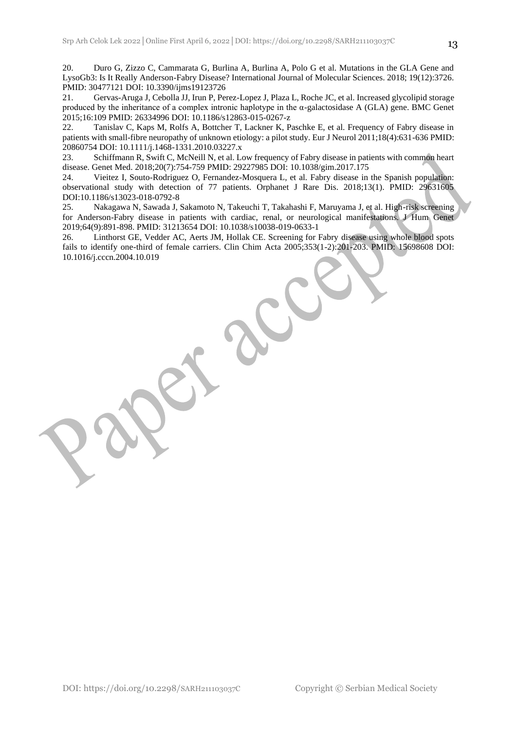20. Duro G, Zizzo C, Cammarata G, Burlina A, Burlina A, Polo G et al. Mutations in the GLA Gene and LysoGb3: Is It Really Anderson-Fabry Disease? International Journal of Molecular Sciences. 2018; 19(12):3726. PMID: 30477121 DOI: 10.3390/ijms19123726

21. Gervas-Aruga J, Cebolla JJ, Irun P, Perez-Lopez J, Plaza L, Roche JC, et al. Increased glycolipid storage produced by the inheritance of a complex intronic haplotype in the  $\alpha$ -galactosidase A (GLA) gene. BMC Genet 2015;16:109 PMID: 26334996 DOI: 10.1186/s12863-015-0267-z

22. Tanislav C, Kaps M, Rolfs A, Bottcher T, Lackner K, Paschke E, et al. Frequency of Fabry disease in patients with small-fibre neuropathy of unknown etiology: a pilot study. Eur J Neurol 2011;18(4):631-636 PMID: 20860754 DOI: 10.1111/j.1468-1331.2010.03227.x

23. Schiffmann R, Swift C, McNeill N, et al. Low frequency of Fabry disease in patients with common heart disease. Genet Med. 2018;20(7):754-759 PMID: 29227985 DOI: 10.1038/gim.2017.175

24. Vieitez I, Souto-Rodriguez O, Fernandez-Mosquera L, et al. Fabry disease in the Spanish population: observational study with detection of 77 patients. Orphanet J Rare Dis. 2018;13(1). PMID: 29631605 DOI:10.1186/s13023-018-0792-8

25. Nakagawa N, Sawada J, Sakamoto N, Takeuchi T, Takahashi F, Maruyama J, et al. High-risk screening for Anderson-Fabry disease in patients with cardiac, renal, or neurological manifestations. J Hum Genet 2019;64(9):891-898. PMID: 31213654 DOI: 10.1038/s10038-019-0633-1

26. Linthorst GE, Vedder AC, Aerts JM, Hollak CE. Screening for Fabry disease using whole blood spots fails to identify one-third of female carriers. Clin Chim Acta 2005;353(1-2):201-203. PMID: 15698608 DOI: 10.1016/j.cccn.2004.10.019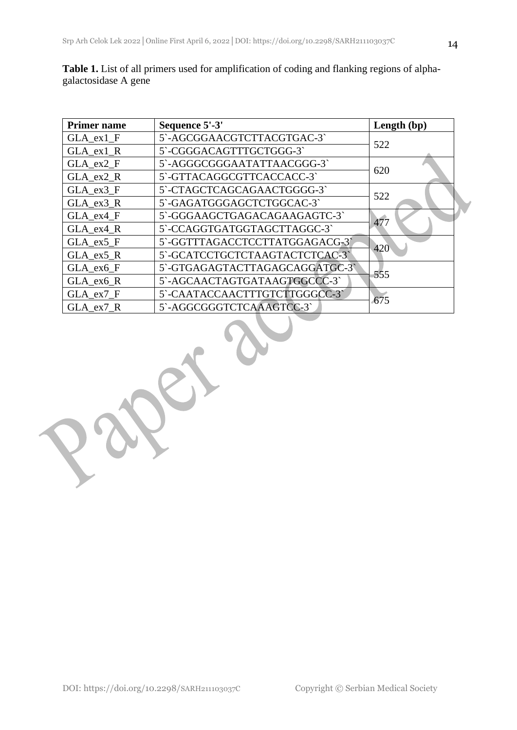$\frac{1}{2}$ 

| <b>Primer name</b> | Sequence 5'-3'                 | Length (bp) |  |
|--------------------|--------------------------------|-------------|--|
| GLA ex1 F          | 5`-AGCGGAACGTCTTACGTGAC-3`     | 522         |  |
| GLA_ex1_R          | 5`-CGGGACAGTTTGCTGGG-3`        |             |  |
| GLA ex2 F          | 5`-AGGGCGGGAATATTAACGGG-3`     | 620         |  |
| GLA ex2 R          | 5`-GTTACAGGCGTTCACCACC-3`      |             |  |
| GLA_ex3_F          | 5`-CTAGCTCAGCAGAACTGGGG-3`     | 522         |  |
| GLA ex3 R          | 5`-GAGATGGGAGCTCTGGCAC-3`      |             |  |
| GLA ex4 F          | 5`-GGGAAGCTGAGACAGAAGAGTC-3`   |             |  |
| GLA_ex4 R          | 5`-CCAGGTGATGGTAGCTTAGGC-3`    | 477         |  |
| GLA ex5 F          | 5`-GGTTTAGACCTCCTTATGGAGACG-3` |             |  |
| GLA ex5 R          | 5'-GCATCCTGCTCTAAGTACTCTCAC-3' | 420         |  |
| GLA_ex6_F          | 5`-GTGAGAGTACTTAGAGCAGGATGC-3` |             |  |
| GLA_ex6_R          | 5`-AGCAACTAGTGATAAGTGGCCC-3`   | 555         |  |
| GLA_ex7_F          | 5`-CAATACCAACTTTGTCTTGGGCC-3`  |             |  |
| GLA ex7 R          | 5`-AGGCGGGTCTCAAAGTCC-3`       | 675         |  |

**Table 1.** List of all primers used for amplification of coding and flanking regions of alphagalactosidase A gene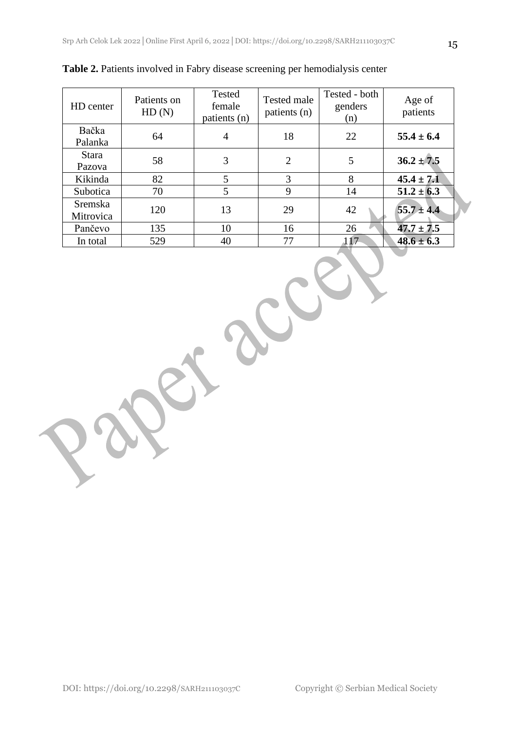| HD center                   | Patients on<br>HD(N) | Tested<br>female<br>patients (n) | Tested male<br>patients (n) | Tested - both<br>genders<br>(n) | Age of<br>patients |
|-----------------------------|----------------------|----------------------------------|-----------------------------|---------------------------------|--------------------|
| Bačka<br>Palanka            | 64                   | 4                                | 18                          | 22                              | $55.4 \pm 6.4$     |
| <b>Stara</b><br>Pazova      | 58                   | 3                                | $\overline{2}$              | 5                               | $36.2 \pm 7.5$     |
| Kikinda                     | 82                   | 5                                | 3                           | 8                               | $45.4 \pm 7.1$     |
| Subotica                    | 70                   | 5                                | 9                           | 14                              | $51.2 \pm 6.3$     |
| <b>Sremska</b><br>Mitrovica | 120                  | 13                               | 29                          | 42                              | $55.7 \pm 4.4$     |
| Pančevo                     | 135                  | 10                               | 16                          | 26                              | $47.7 \pm 7.5$     |
| In total                    | 529                  | 40                               | 77                          | 117                             | $48.6 \pm 6.3$     |

**Table 2.** Patients involved in Fabry disease screening per hemodialysis center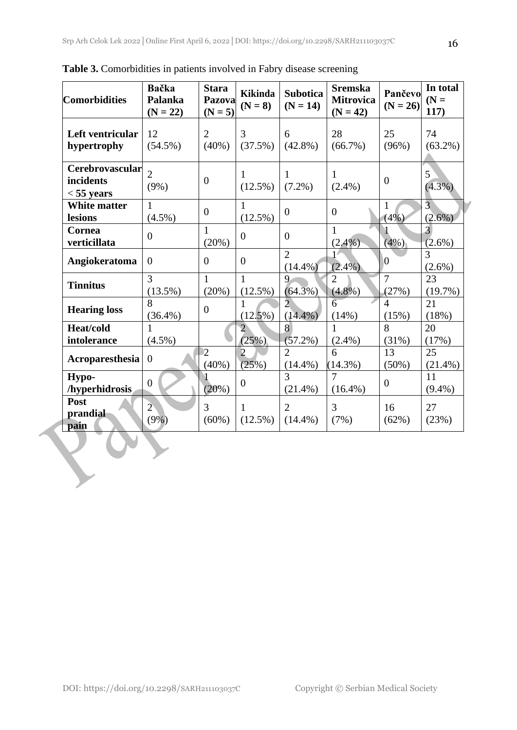| <b>Comorbidities</b>                         | Bačka<br>Palanka<br>$(N = 22)$ | <b>Stara</b><br>Pazova<br>$(N = 5)$ | <b>Kikinda</b><br>$(N = 8)$ | <b>Subotica</b><br>$(N = 14)$ | <b>Sremska</b><br><b>Mitrovica</b><br>$(N = 42)$ | Pančevo<br>$(N = 26)$   | In total<br>$(N =$<br>117)  |
|----------------------------------------------|--------------------------------|-------------------------------------|-----------------------------|-------------------------------|--------------------------------------------------|-------------------------|-----------------------------|
| Left ventricular<br>hypertrophy              | 12<br>$(54.5\%)$               | $\overline{2}$<br>$(40\%)$          | 3<br>(37.5%)                | 6<br>$(42.8\%)$               | 28<br>$(66.7\%)$                                 | 25<br>(96%)             | 74<br>$(63.2\%)$            |
| Cerebrovascular<br>incidents<br>$<$ 55 years | $\overline{2}$<br>$(9\%)$      | $\overline{0}$                      | 1<br>$(12.5\%)$             | 1<br>$(7.2\%)$                | $\mathbf{1}$<br>$(2.4\%)$                        | $\overline{0}$          | 5<br>$(4.3\%)$              |
| <b>White matter</b><br>lesions               | 1<br>$(4.5\%)$                 | $\boldsymbol{0}$                    | 1<br>$(12.5\%)$             | $\overline{0}$                | $\boldsymbol{0}$                                 | 1<br>(4%)               | $\overline{3}$<br>$(2.6\%)$ |
| Cornea<br>verticillata                       | $\overline{0}$                 | $\mathbf{1}$<br>(20%)               | $\overline{0}$              | $\overline{0}$                | $\mathbf{1}$<br>$(2.4\%)$                        | $(4\%)$                 | 3<br>$(2.6\%)$              |
| Angiokeratoma                                | $\overline{0}$                 | $\overline{0}$                      | $\overline{0}$              | $\overline{2}$<br>$(14.4\%)$  | $(2.4\%)$                                        | $\overline{0}$          | 3<br>$(2.6\%)$              |
| <b>Tinnitus</b>                              | 3<br>$(13.5\%)$                | 1<br>(20%)                          | 1<br>$(12.5\%)$             | 9<br>$(64.3\%)$               | $\overline{2}$<br>$(4.8\%)$                      | $\overline{7}$<br>(27%) | 23<br>(19.7%)               |
| <b>Hearing loss</b>                          | 8<br>$(36.4\%)$                | $\overline{0}$                      | 1<br>$(12.5\%)$             | $\overline{2}$<br>$(14.4\%)$  | 6<br>(14%)                                       | $\overline{4}$<br>(15%) | 21<br>(18%)                 |
| <b>Heat/cold</b><br>intolerance              | $(4.5\%)$                      |                                     | $\overline{2}$<br>(25%)     | 8<br>$(57.2\%)$               | 1<br>$(2.4\%)$                                   | 8<br>(31%)              | 20<br>(17%)                 |
| Acroparesthesia                              | $\overline{0}$                 | $\overline{2}$<br>$(40\%)$          | $\overline{2}$<br>(25%)     | $\overline{2}$<br>$(14.4\%)$  | 6<br>$(14.3\%)$                                  | 13<br>$(50\%)$          | 25<br>$(21.4\%)$            |
| Hypo-<br>/hyperhidrosis                      | $\overline{0}$                 | (20%)                               | $\overline{0}$              | 3<br>$(21.4\%)$               | 7<br>$(16.4\%)$                                  | $\overline{0}$          | 11<br>$(9.4\%)$             |
| Post<br>prandial<br>pain                     | $\overline{2}$<br>$(9\%)$      | 3<br>$(60\%)$                       | $\mathbf{1}$<br>$(12.5\%)$  | $\overline{2}$<br>$(14.4\%)$  | 3<br>(7%)                                        | 16<br>(62%)             | 27<br>(23%)                 |

**Table 3.** Comorbidities in patients involved in Fabry disease screening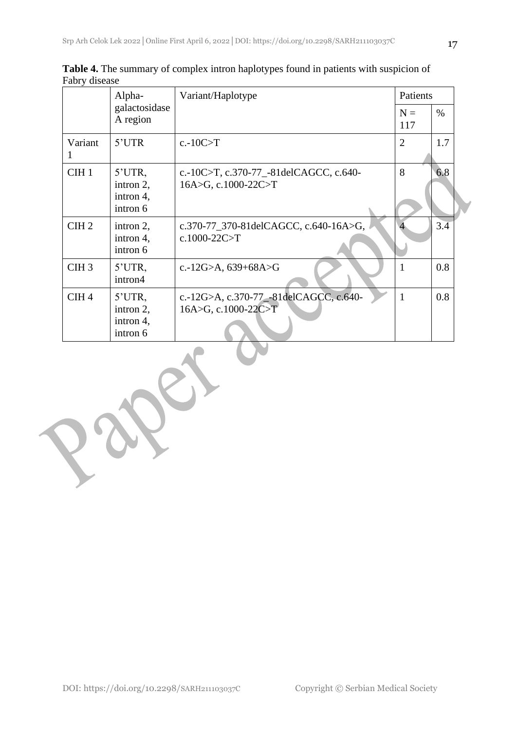|                  | Alpha-                                          | Variant/Haplotype                                             | Patients       |                  |  |
|------------------|-------------------------------------------------|---------------------------------------------------------------|----------------|------------------|--|
|                  | galactosidase<br>A region                       |                                                               | $N =$<br>117   | $\%$             |  |
| Variant          | 5'UTR                                           | $c.-10C>T$                                                    | $\overline{2}$ | 1.7              |  |
| CIH <sub>1</sub> | $5'UTR$ ,<br>intron 2,<br>intron 4,<br>intron 6 | c.-10C>T, c.370-77_-81delCAGCC, c.640-<br>16A>G, c.1000-22C>T | 8              | 6.8              |  |
| CIH <sub>2</sub> | intron 2,<br>intron 4,<br>intron 6              | c.370-77_370-81delCAGCC, c.640-16A>G,<br>c.1000-22C>T         |                | $3.\overline{4}$ |  |
| CIH <sub>3</sub> | 5'UTR,<br>intron4                               | c.-12G>A, $639+68A>G$                                         | 1              | 0.8              |  |
| CIH <sub>4</sub> | 5'UTR,<br>intron 2,<br>intron 4,<br>intron 6    | c.-12G>A, c.370-77_-81delCAGCC, c.640-<br>16A>G, c.1000-22C>T | $\mathbf{1}$   | 0.8              |  |

**Table 4.** The summary of complex intron haplotypes found in patients with suspicion of Fabry disease

U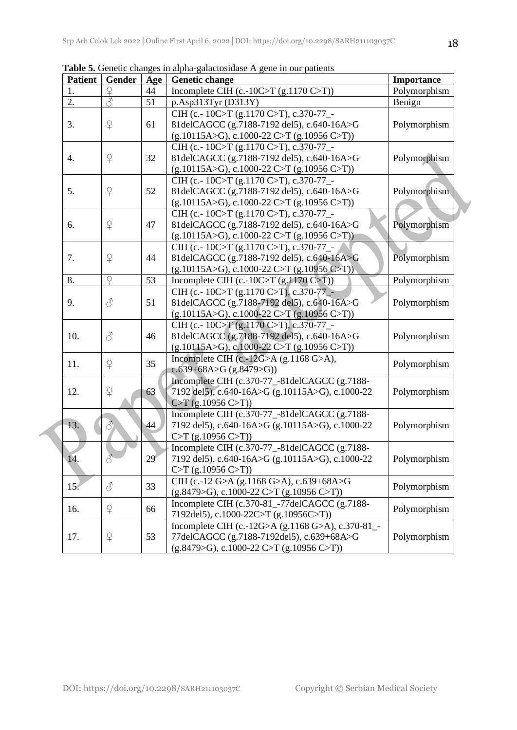| <b>Patient</b> | Gender                   | Age | <b>Genetic change</b><br>Importance                    |              |
|----------------|--------------------------|-----|--------------------------------------------------------|--------------|
| 1.             |                          | 44  | Incomplete CIH (c.-10C>T (g.1170 C>T))<br>Polymorphism |              |
| 2.             | $\overline{\mathcal{L}}$ | 51  | p.Asp313Tyr (D313Y)                                    | Benign       |
|                |                          |     | CIH (c.-10C>T (g.1170 C>T), c.370-77_-                 |              |
| 3.             | $\mathsf{P}$             | 61  | 81delCAGCC (g.7188-7192 del5), c.640-16A>G             | Polymorphism |
|                |                          |     | $(g.10115A>G), c.1000-22 C>T (g.10956 C>T))$           |              |
|                |                          |     | CIH (c.-10C>T (g.1170 C>T), c.370-77_-                 |              |
| 4.             | $\mathsf{P}$             | 32  | 81delCAGCC (g.7188-7192 del5), c.640-16A>G             | Polymorphism |
|                |                          |     | $(g.10115A>G), c.1000-22 C>T (g.10956 C>T))$           |              |
|                |                          |     | CIH (c.-10C>T (g.1170 C>T), c.370-77_-                 |              |
| 5.             | $\Omega$                 | 52  | 81delCAGCC (g.7188-7192 del5), c.640-16A>G             | Polymorphism |
|                |                          |     | $(g.10115A>G), c.1000-22 C>T (g.10956 C>T))$           |              |
|                |                          |     | CIH (c.-10C>T (g.1170 C>T), c.370-77_-                 |              |
| 6.             | $\Omega$                 | 47  | 81delCAGCC (g.7188-7192 del5), c.640-16A>G             | Polymorphism |
|                |                          |     | $(g.10115A>G), c.1000-22 C>T (g.10956 C>T))$           |              |
|                |                          |     | CIH (c.-10C>T (g.1170 C>T), c.370-77_-                 |              |
| 7.             | $\Omega$                 | 44  | 81delCAGCC (g.7188-7192 del5), c.640-16A>G             | Polymorphism |
|                |                          |     | $(g.10115A>G), c.1000-22 C>T (g.10956 C>T))$           |              |
| 8.             | $\Omega$                 | 53  | Incomplete CIH (c.-10C>T $(g, 1170 \text{ C} > T)$ )   | Polymorphism |
|                |                          |     | CIH (c.-10C>T (g.1170 C>T), c.370-77_-                 |              |
| 9.             | $\mathcal{S}$            | 51  | 81delCAGCC (g.7188-7192 del5), c.640-16A>G             | Polymorphism |
|                |                          |     | $(g.10115A>G), c.1000-22 C>T (g.10956 C>T))$           |              |
|                |                          |     | CIH (c.- 10C>T (g.1170 C>T), c.370-77_-                |              |
| 10.            | 8                        | 46  | 81delCAGCC (g.7188-7192 del5), c.640-16A>G             | Polymorphism |
|                |                          |     | $(g.10115A>G), c.1000-22 C>T (g.10956 C>T)$            |              |
| 11.            | $\mathsf{P}$             | 35  | Incomplete CIH (c.-12G>A (g.1168 G>A),                 | Polymorphism |
|                |                          |     | $c.639+68A > G (g.8479 > G)$                           |              |
|                |                          |     | Incomplete CIH (c.370-77_-81delCAGCC (g.7188-          |              |
| 12.            | $\Omega$                 | 63  | 7192 del5), c.640-16A>G (g.10115A>G), c.1000-22        | Polymorphism |
|                |                          |     | $C>T$ (g.10956 C>T))                                   |              |
|                |                          |     | Incomplete CIH (c.370-77_-81delCAGCC (g.7188-          |              |
| 13.            | $\vec{\delta}$           | 44  | 7192 del5), c.640-16A>G (g.10115A>G), c.1000-22        | Polymorphism |
|                |                          |     | $C>T$ (g.10956 $C>T$ ))                                |              |
|                |                          |     | Incomplete CIH (c.370-77_-81delCAGCC (g.7188-          |              |
| 14.            | 3                        | 29  | 7192 del5), c.640-16A>G (g.10115A>G), c.1000-22        | Polymorphism |
|                |                          |     | $C>T$ (g.10956 $C>T$ ))                                |              |
| 15.            | 8                        | 33  | CIH (c.-12 G>A (g.1168 G>A), c.639+68A>G               | Polymorphism |
|                |                          |     | $(g.8479>G), c.1000-22 C>T (g.10956 C>T)$              |              |
| 16.            | $\Omega$                 | 66  | Incomplete CIH (c.370-81_-77delCAGCC (g.7188-          | Polymorphism |
|                |                          |     | 7192del5), c.1000-22C>T (g.10956C>T))                  |              |
|                |                          |     | Incomplete CIH (c.-12G>A (g.1168 G>A), c.370-81_-      |              |
| 17.            | ¥                        | 53  | 77delCAGCC (g.7188-7192del5), c.639+68A>G              | Polymorphism |
|                |                          |     | $(g.8479>G), c.1000-22 C>T (g.10956 C>T)$              |              |

**Table 5.** Genetic changes in alpha-galactosidase A gene in our patients